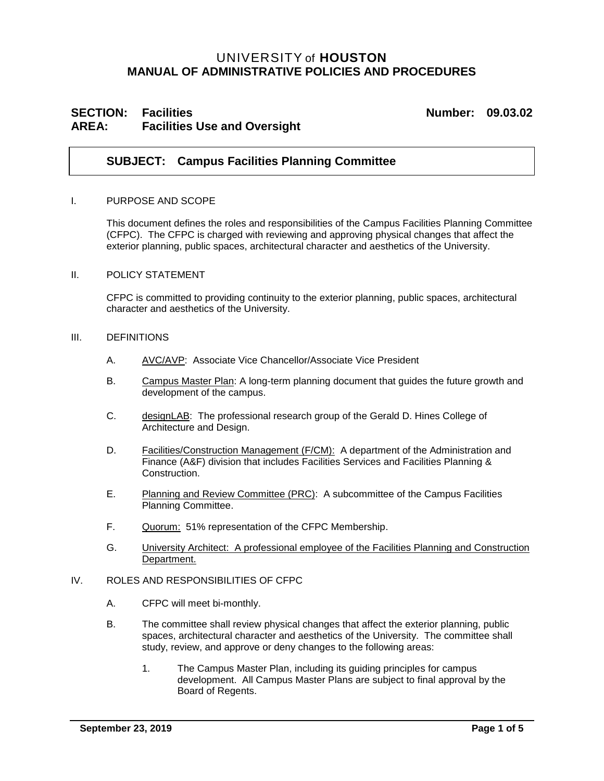# UNIVERSITY of **HOUSTON MANUAL OF ADMINISTRATIVE POLICIES AND PROCEDURES**

# **SECTION: Facilities Number: 09.03.02 AREA: Facilities Use and Oversight**

## **SUBJECT: Campus Facilities Planning Committee**

#### I. PURPOSE AND SCOPE

This document defines the roles and responsibilities of the Campus Facilities Planning Committee (CFPC). The CFPC is charged with reviewing and approving physical changes that affect the exterior planning, public spaces, architectural character and aesthetics of the University.

#### II. POLICY STATEMENT

CFPC is committed to providing continuity to the exterior planning, public spaces, architectural character and aesthetics of the University.

#### III. DEFINITIONS

- A. AVC/AVP: Associate Vice Chancellor/Associate Vice President
- B. Campus Master Plan: A long-term planning document that guides the future growth and development of the campus.
- C. designLAB: The professional research group of the Gerald D. Hines College of Architecture and Design.
- D. Facilities/Construction Management (F/CM): A department of the Administration and Finance (A&F) division that includes Facilities Services and Facilities Planning & **Construction**
- E. Planning and Review Committee (PRC): A subcommittee of the Campus Facilities Planning Committee.
- F. Quorum: 51% representation of the CFPC Membership.
- G. University Architect: A professional employee of the Facilities Planning and Construction Department.

### IV. ROLES AND RESPONSIBILITIES OF CFPC

- A. CFPC will meet bi-monthly.
- B. The committee shall review physical changes that affect the exterior planning, public spaces, architectural character and aesthetics of the University. The committee shall study, review, and approve or deny changes to the following areas:
	- 1. The Campus Master Plan, including its guiding principles for campus development. All Campus Master Plans are subject to final approval by the Board of Regents.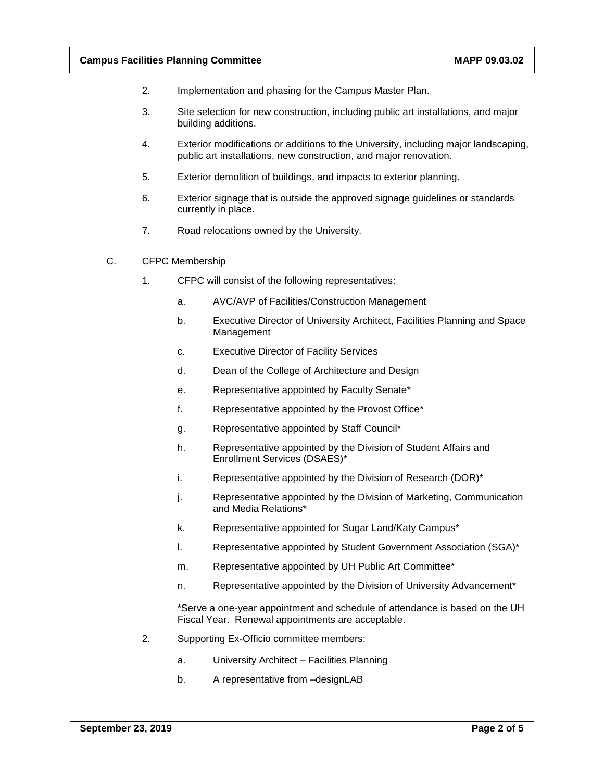- 2. Implementation and phasing for the Campus Master Plan.
- 3. Site selection for new construction, including public art installations, and major building additions.
- 4. Exterior modifications or additions to the University, including major landscaping, public art installations, new construction, and major renovation.
- 5. Exterior demolition of buildings, and impacts to exterior planning.
- 6. Exterior signage that is outside the approved signage guidelines or standards currently in place.
- 7. Road relocations owned by the University.
- C. CFPC Membership
	- 1. CFPC will consist of the following representatives:
		- a. AVC/AVP of Facilities/Construction Management
		- b. Executive Director of University Architect, Facilities Planning and Space Management
		- c. Executive Director of Facility Services
		- d. Dean of the College of Architecture and Design
		- e. Representative appointed by Faculty Senate\*
		- f. Representative appointed by the Provost Office\*
		- g. Representative appointed by Staff Council\*
		- h. Representative appointed by the Division of Student Affairs and Enrollment Services (DSAES)\*
		- i. Representative appointed by the Division of Research (DOR)\*
		- j. Representative appointed by the Division of Marketing, Communication and Media Relations\*
		- k. Representative appointed for Sugar Land/Katy Campus\*
		- l. Representative appointed by Student Government Association (SGA)\*
		- m. Representative appointed by UH Public Art Committee\*
		- n. Representative appointed by the Division of University Advancement\*

\*Serve a one-year appointment and schedule of attendance is based on the UH Fiscal Year. Renewal appointments are acceptable.

- 2. Supporting Ex-Officio committee members:
	- a. University Architect Facilities Planning
	- b. A representative from –designLAB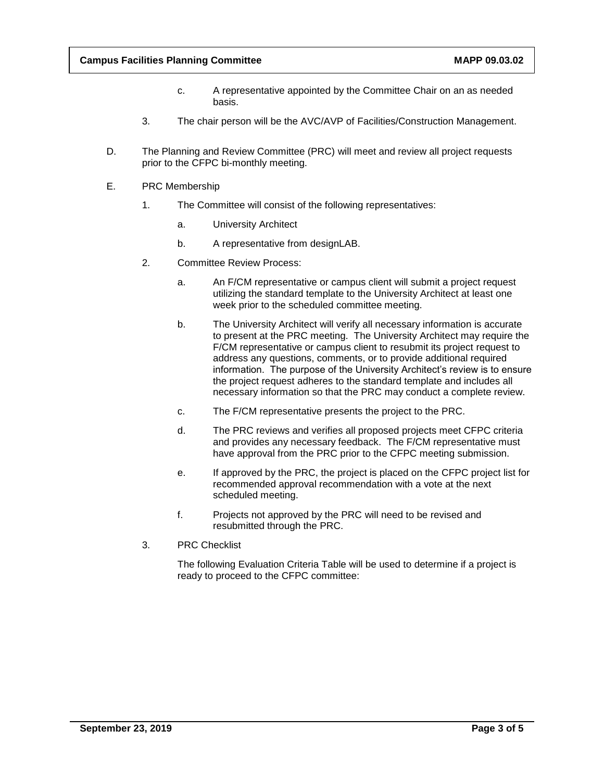- c. A representative appointed by the Committee Chair on an as needed basis.
- 3. The chair person will be the AVC/AVP of Facilities/Construction Management.
- D. The Planning and Review Committee (PRC) will meet and review all project requests prior to the CFPC bi-monthly meeting.
- E. PRC Membership
	- 1. The Committee will consist of the following representatives:
		- a. University Architect
		- b. A representative from designLAB.
	- 2. Committee Review Process:
		- a. An F/CM representative or campus client will submit a project request utilizing the standard template to the University Architect at least one week prior to the scheduled committee meeting.
		- b. The University Architect will verify all necessary information is accurate to present at the PRC meeting. The University Architect may require the F/CM representative or campus client to resubmit its project request to address any questions, comments, or to provide additional required information. The purpose of the University Architect's review is to ensure the project request adheres to the standard template and includes all necessary information so that the PRC may conduct a complete review.
		- c. The F/CM representative presents the project to the PRC.
		- d. The PRC reviews and verifies all proposed projects meet CFPC criteria and provides any necessary feedback. The F/CM representative must have approval from the PRC prior to the CFPC meeting submission.
		- e. If approved by the PRC, the project is placed on the CFPC project list for recommended approval recommendation with a vote at the next scheduled meeting.
		- f. Projects not approved by the PRC will need to be revised and resubmitted through the PRC.
	- 3. PRC Checklist

The following Evaluation Criteria Table will be used to determine if a project is ready to proceed to the CFPC committee: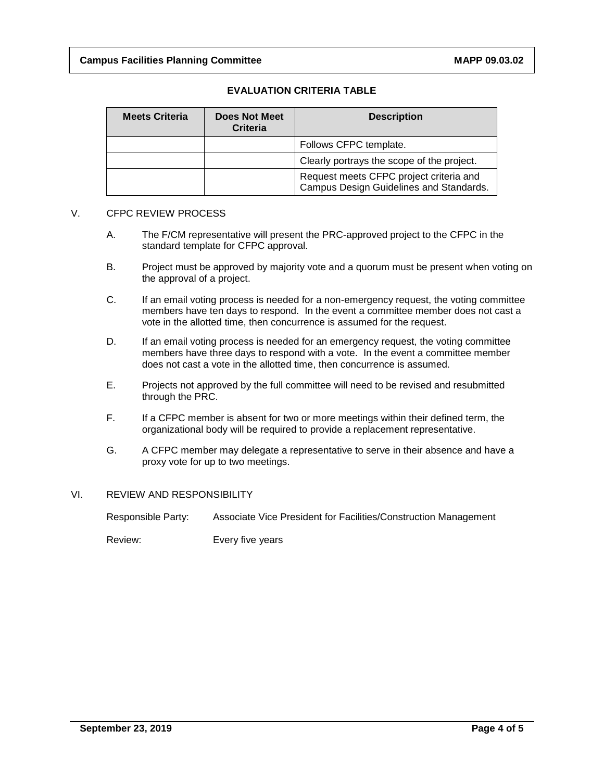### **EVALUATION CRITERIA TABLE**

| <b>Meets Criteria</b> | <b>Does Not Meet</b><br><b>Criteria</b> | <b>Description</b>                                                                 |
|-----------------------|-----------------------------------------|------------------------------------------------------------------------------------|
|                       |                                         | Follows CFPC template.                                                             |
|                       |                                         | Clearly portrays the scope of the project.                                         |
|                       |                                         | Request meets CFPC project criteria and<br>Campus Design Guidelines and Standards. |

### V. CFPC REVIEW PROCESS

- A. The F/CM representative will present the PRC-approved project to the CFPC in the standard template for CFPC approval.
- B. Project must be approved by majority vote and a quorum must be present when voting on the approval of a project.
- C. If an email voting process is needed for a non-emergency request, the voting committee members have ten days to respond. In the event a committee member does not cast a vote in the allotted time, then concurrence is assumed for the request.
- D. If an email voting process is needed for an emergency request, the voting committee members have three days to respond with a vote. In the event a committee member does not cast a vote in the allotted time, then concurrence is assumed.
- E. Projects not approved by the full committee will need to be revised and resubmitted through the PRC.
- F. If a CFPC member is absent for two or more meetings within their defined term, the organizational body will be required to provide a replacement representative.
- G. A CFPC member may delegate a representative to serve in their absence and have a proxy vote for up to two meetings.

### VI. REVIEW AND RESPONSIBILITY

Responsible Party: Associate Vice President for Facilities/Construction Management

Review: Every five years